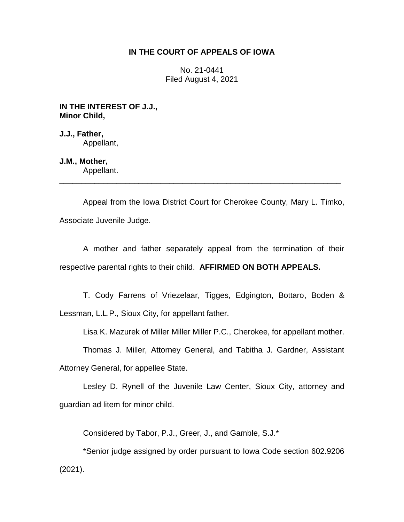## **IN THE COURT OF APPEALS OF IOWA**

No. 21-0441 Filed August 4, 2021

**IN THE INTEREST OF J.J., Minor Child,**

**J.J., Father,** Appellant,

**J.M., Mother,**

Appellant. \_\_\_\_\_\_\_\_\_\_\_\_\_\_\_\_\_\_\_\_\_\_\_\_\_\_\_\_\_\_\_\_\_\_\_\_\_\_\_\_\_\_\_\_\_\_\_\_\_\_\_\_\_\_\_\_\_\_\_\_\_\_\_\_

Appeal from the Iowa District Court for Cherokee County, Mary L. Timko, Associate Juvenile Judge.

A mother and father separately appeal from the termination of their respective parental rights to their child. **AFFIRMED ON BOTH APPEALS.**

T. Cody Farrens of Vriezelaar, Tigges, Edgington, Bottaro, Boden & Lessman, L.L.P., Sioux City, for appellant father.

Lisa K. Mazurek of Miller Miller Miller P.C., Cherokee, for appellant mother.

Thomas J. Miller, Attorney General, and Tabitha J. Gardner, Assistant Attorney General, for appellee State.

Lesley D. Rynell of the Juvenile Law Center, Sioux City, attorney and

guardian ad litem for minor child.

Considered by Tabor, P.J., Greer, J., and Gamble, S.J.\*

\*Senior judge assigned by order pursuant to Iowa Code section 602.9206 (2021).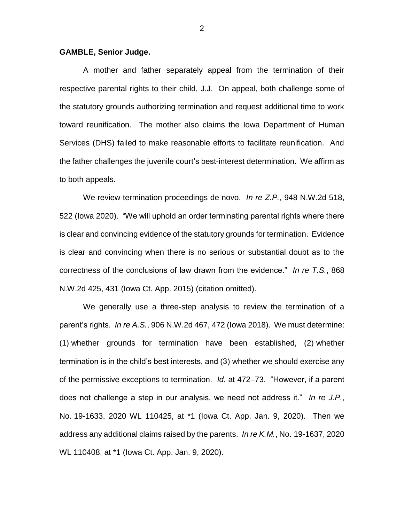## **GAMBLE, Senior Judge.**

A mother and father separately appeal from the termination of their respective parental rights to their child, J.J. On appeal, both challenge some of the statutory grounds authorizing termination and request additional time to work toward reunification. The mother also claims the Iowa Department of Human Services (DHS) failed to make reasonable efforts to facilitate reunification. And the father challenges the juvenile court's best-interest determination. We affirm as to both appeals.

We review termination proceedings de novo. *In re Z.P.*, 948 N.W.2d 518, 522 (Iowa 2020). "We will uphold an order terminating parental rights where there is clear and convincing evidence of the statutory grounds for termination. Evidence is clear and convincing when there is no serious or substantial doubt as to the correctness of the conclusions of law drawn from the evidence." *In re T.S.*, 868 N.W.2d 425, 431 (Iowa Ct. App. 2015) (citation omitted).

We generally use a three-step analysis to review the termination of a parent's rights. *In re A.S.*, 906 N.W.2d 467, 472 (Iowa 2018). We must determine: (1) whether grounds for termination have been established, (2) whether termination is in the child's best interests, and (3) whether we should exercise any of the permissive exceptions to termination. *Id.* at 472–73. "However, if a parent does not challenge a step in our analysis, we need not address it." *In re J.P.*, No. 19-1633, 2020 WL 110425, at \*1 (Iowa Ct. App. Jan. 9, 2020). Then we address any additional claims raised by the parents. *In re K.M.*, No. 19-1637, 2020 WL 110408, at \*1 (Iowa Ct. App. Jan. 9, 2020).

2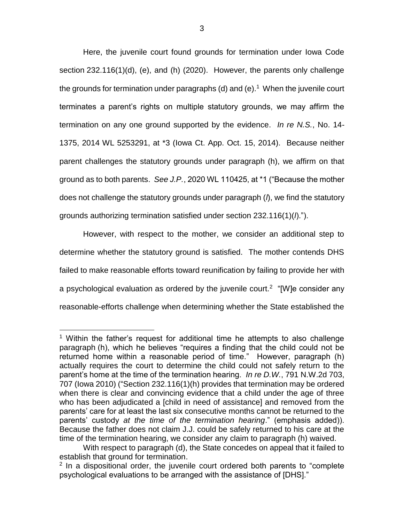Here, the juvenile court found grounds for termination under Iowa Code section 232.116(1)(d), (e), and (h) (2020). However, the parents only challenge the grounds for termination under paragraphs (d) and (e).<sup>1</sup> When the juvenile court terminates a parent's rights on multiple statutory grounds, we may affirm the termination on any one ground supported by the evidence. *In re N.S.*, No. 14- 1375, 2014 WL 5253291, at \*3 (Iowa Ct. App. Oct. 15, 2014). Because neither parent challenges the statutory grounds under paragraph (h), we affirm on that ground as to both parents. *See J.P.*, 2020 WL 110425, at \*1 ("Because the mother does not challenge the statutory grounds under paragraph (*l*), we find the statutory grounds authorizing termination satisfied under section 232.116(1)(*l*).").

However, with respect to the mother, we consider an additional step to determine whether the statutory ground is satisfied. The mother contends DHS failed to make reasonable efforts toward reunification by failing to provide her with a psychological evaluation as ordered by the juvenile court.<sup>2</sup> "[W]e consider any reasonable-efforts challenge when determining whether the State established the

 $\overline{a}$ 

<sup>&</sup>lt;sup>1</sup> Within the father's request for additional time he attempts to also challenge paragraph (h), which he believes "requires a finding that the child could not be returned home within a reasonable period of time." However, paragraph (h) actually requires the court to determine the child could not safely return to the parent's home at the time of the termination hearing. *In re D.W.*, 791 N.W.2d 703, 707 (Iowa 2010) ("Section [232.116\(](https://1.next.westlaw.com/Link/Document/FullText?findType=L&pubNum=1000256&cite=IASTS232.116&originatingDoc=I81265f080a2811e088699d6fd571daba&refType=LQ&originationContext=document&transitionType=DocumentItem&contextData=(sc.Search))1)(h) provides that termination may be ordered when there is clear and convincing evidence that a child under the age of three who has been adjudicated a [child in need of assistance] and removed from the parents' care for at least the last six consecutive months cannot be returned to the parents' custody *at the time of the termination hearing*." (emphasis added)). Because the father does not claim J.J. could be safely returned to his care at the time of the termination hearing, we consider any claim to paragraph (h) waived.

With respect to paragraph (d), the State concedes on appeal that it failed to establish that ground for termination.

 $2$  In a dispositional order, the juvenile court ordered both parents to "complete psychological evaluations to be arranged with the assistance of [DHS]."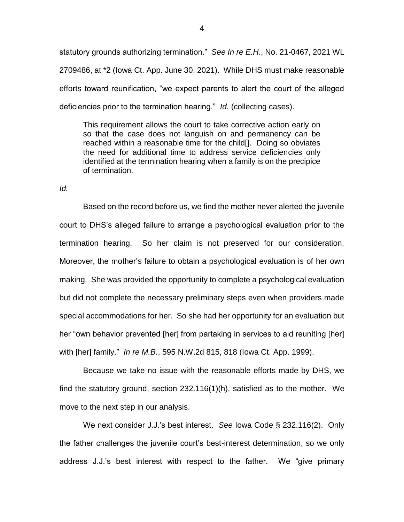statutory grounds authorizing termination." *See In re E.H.*, No. 21-0467, 2021 WL 2709486, at \*2 (Iowa Ct. App. June 30, 2021). While DHS must make reasonable efforts toward reunification, "we expect parents to alert the court of the alleged deficiencies prior to the termination hearing." *Id.* (collecting cases).

This requirement allows the court to take corrective action early on so that the case does not languish on and permanency can be reached within a reasonable time for the child[]. Doing so obviates the need for additional time to address service deficiencies only identified at the termination hearing when a family is on the precipice of termination.

*Id.*

Based on the record before us, we find the mother never alerted the juvenile court to DHS's alleged failure to arrange a psychological evaluation prior to the termination hearing. So her claim is not preserved for our consideration. Moreover, the mother's failure to obtain a psychological evaluation is of her own making. She was provided the opportunity to complete a psychological evaluation but did not complete the necessary preliminary steps even when providers made special accommodations for her. So she had her opportunity for an evaluation but her "own behavior prevented [her] from partaking in services to aid reuniting [her] with [her] family." *In re M.B.*, 595 N.W.2d 815, 818 (Iowa Ct. App. 1999).

Because we take no issue with the reasonable efforts made by DHS, we find the statutory ground, section 232.116(1)(h), satisfied as to the mother. We move to the next step in our analysis.

We next consider J.J.'s best interest. *See* Iowa Code § 232.116(2). Only the father challenges the juvenile court's best-interest determination, so we only address J.J.'s best interest with respect to the father. We "give primary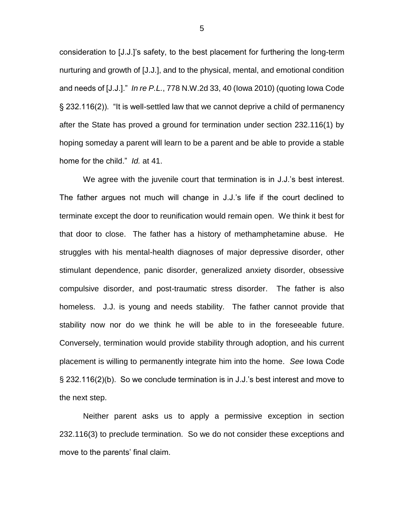consideration to [J.J.]'s safety, to the best placement for furthering the long-term nurturing and growth of [J.J.], and to the physical, mental, and emotional condition and needs of [J.J.]." *In re P.L.*, 778 N.W.2d 33, 40 (Iowa 2010) (quoting Iowa Code § 232.116(2)). "It is well-settled law that we cannot deprive a child of permanency after the State has proved a ground for termination under section 232.116(1) by hoping someday a parent will learn to be a parent and be able to provide a stable home for the child." *Id.* at 41.

We agree with the juvenile court that termination is in J.J.'s best interest. The father argues not much will change in J.J.'s life if the court declined to terminate except the door to reunification would remain open. We think it best for that door to close. The father has a history of methamphetamine abuse. He struggles with his mental-health diagnoses of major depressive disorder, other stimulant dependence, panic disorder, generalized anxiety disorder, obsessive compulsive disorder, and post-traumatic stress disorder. The father is also homeless. J.J. is young and needs stability. The father cannot provide that stability now nor do we think he will be able to in the foreseeable future. Conversely, termination would provide stability through adoption, and his current placement is willing to permanently integrate him into the home. *See* Iowa Code § 232.116(2)(b). So we conclude termination is in J.J.'s best interest and move to the next step.

Neither parent asks us to apply a permissive exception in section 232.116(3) to preclude termination. So we do not consider these exceptions and move to the parents' final claim.

5